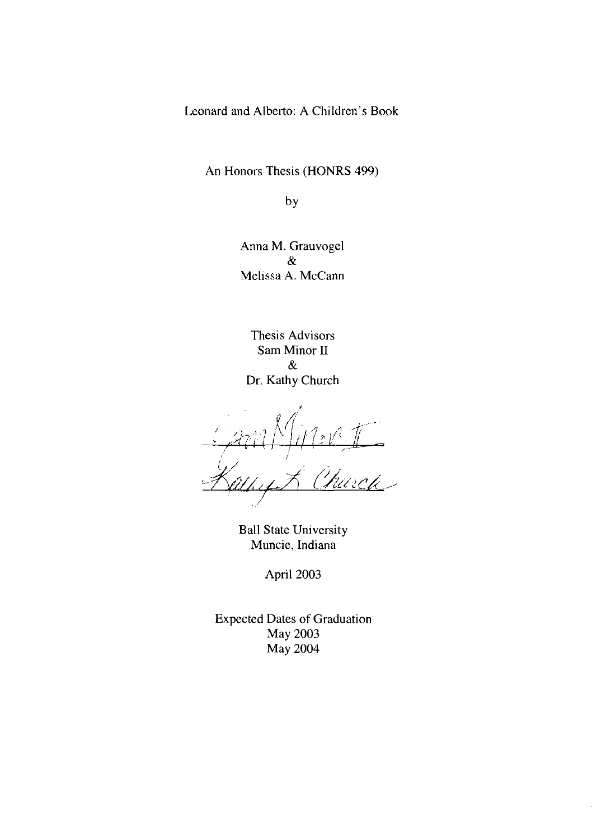Leonard and Alberto: A Children's Book

An Honors Thesis (HONRS 499)

by

Anna M. Grauvogel & Melissa A. McCann

Thesis Advisors Sam Minor II & Dr. Kathy Church

Wert

Ball State University Muncie, Indiana

April 2003

Expected Dates of Graduation May 2003 May 2004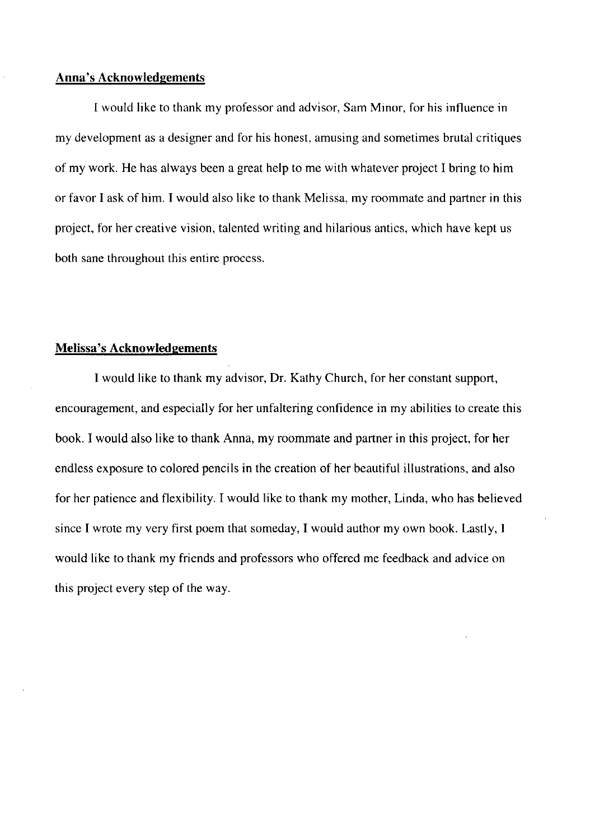### **Anna's Acknowledgements**

I would like to thank my professor and advisor, Sam Minor, for his influence in my development as a designer and for his honest, amusing and sometimes brutal critiques of my work. He has always been a great help to me with whatever project I bring to him or favor I ask of him. I would also like to thank Melissa, my roommate and partner in this project, for her creative vision, talented writing and hilarious antics, which have kept us both sane throughout this entire process.

### **Melissa's Acknowledgements**

I would like to thank my advisor, Dr. Kathy Church, for her constant support, encouragement, and especially for her unfaltering confidence in my abilities to create this book. I would also like to thank Anna, my roommate and partner in this project, for her endless exposure to colored pencils in the creation of her beautiful illustrations, and also for her patience and flexibility. I would like to thank my mother, Linda, who has believed since I wrote my very first poem that someday, I would author my own book. Lastly, I would like to thank my friends and professors who offered me feedback and advice on this project every step of the way.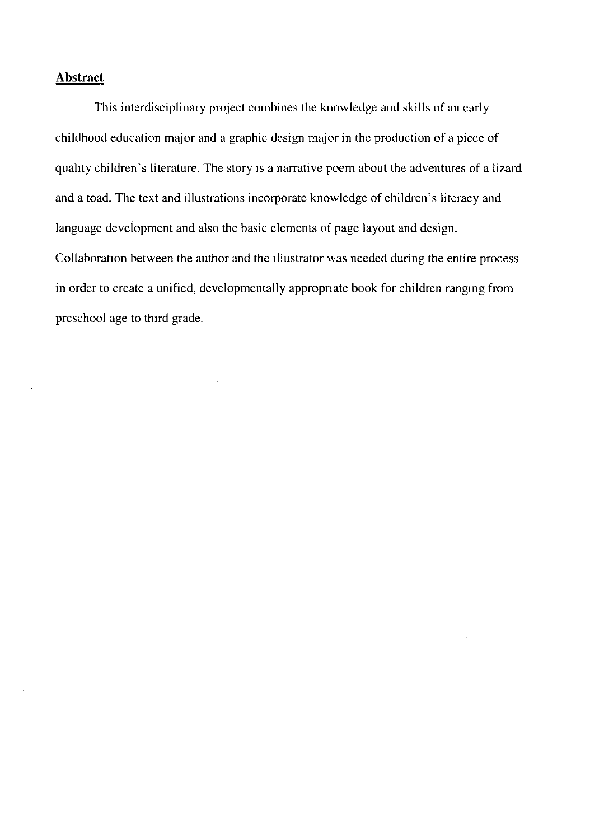## **Abstract**

This interdisciplinary project combines the knowledge and skills of an early childhood education major and a graphic design major in the production of a piece of quality children's literature. The story is a narrative poem about the adventures of a lizard and a toad. The text and illustrations incorporate knowledge of children's literacy and language development and also the basic elements of page layout and design. Collaboration between the author and the illustrator was needed during the entire process in order to create a unified, developmentally appropriate book for children ranging from preschool age to third grade.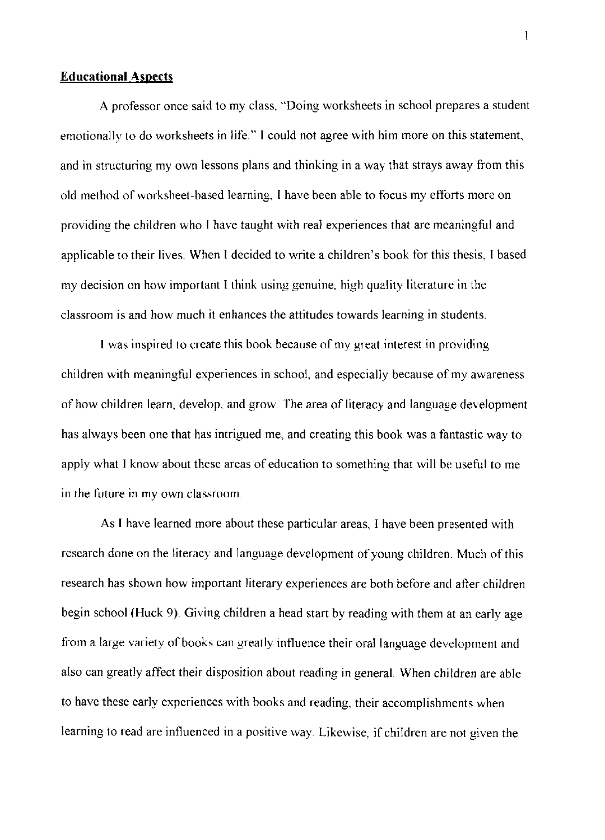#### **Educational Aspects**

A professor once said to my class, "Doing worksheets in school prepares a student emotionally to do worksheets in life." I could not agree with him more on this statement, and in structuring my own lessons plans and thinking in a way that strays away from this old method of worksheet-based learning, I have been able to focus my efforts more on providing the children who I have taught with real experiences that are meaningful and applicable to their lives. When I decided to write a children's book for this thesis, I based my decision on how important I think using genuine, high quality literature in the classroom is and how much it enhances the attitudes towards learning in students.

I was inspired to create this book because of my great interest in providing children with meaningful experiences in school, and especially because of my awareness of how children learn, develop, and grow. The area of literacy and language development has always been one that has intrigued me, and creating this book was a fantastic way to apply what I know about these areas of education to something that will be useful to me in the future in my own classroom.

As I have learned more about these particular areas, I have been presented with research done on the literacy and language development of young children. Much of this research has shown how important literary experiences are both before and after children begin school (Huck 9). Giving children a head start by reading with them at an early age from a large variety of books can greatly influence their oral language development and also can greatly affect their disposition about reading in general When children are able to have these early experiences with books and reading, their accomplishments when learning to read are influenced in a positive way Likewise, if children are not given the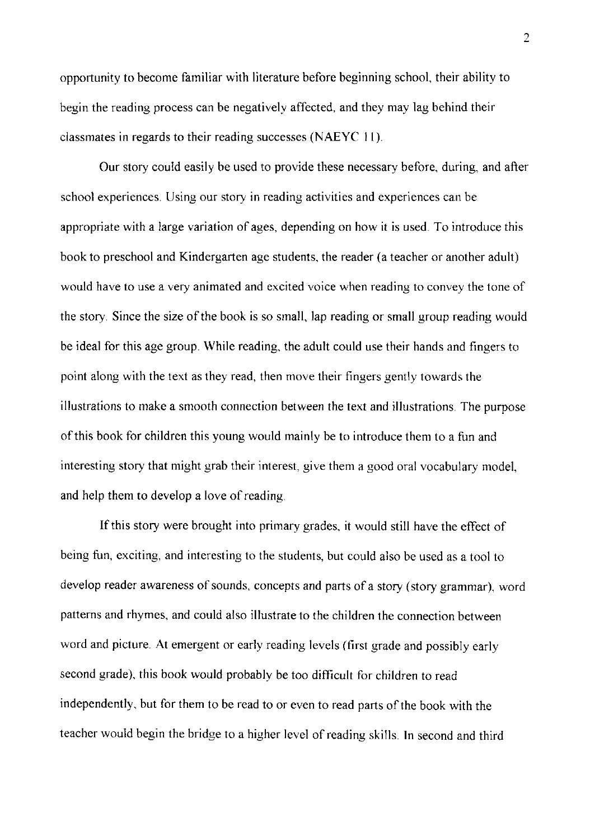opportunity to become familiar with literature before beginning school, their ability to begin the reading process can be negatively affected, and they may lag behind their classmates in regards to their reading successes (NAEYC **11).** 

Our story could easily be used to provide these necessary before, during, and after school experiences. Using our story in reading activities and experiences can be appropriate with a large variation of ages, depending on how it is used. To introduce this book to preschool and Kindergarten age students, the reader (a teacher or another adult) would have to use a very animated and excited voice when reading to convey the tone of the story. Since the size of the book is so small, lap reading or small group reading would be ideal for this age group. While reading, the adult could use their hands and fingers to point along with the text as they read, then move their fingers gently towards the illustrations to make a smooth connection between the text and illustrations. The purpose of this book for children this young would mainly be to introduce them to a fun and interesting story that might grab their interest, give them a good oral vocabulary model, and help them to develop a love of reading.

If this story were brought into primary grades, it would still have the effect of being fun, exciting, and interesting to the students, but could also be used as a tool to develop reader awareness of sounds, concepts and parts of a story (story grammar), word patterns and rhymes, and could also illustrate to the children the connection between word and picture. At emergent or early reading levels (first grade and possibly early second grade), this book would probably be too difficult for children to read independently, but for them to be read to or even to read parts of the book with the teacher would begin the bridge to a higher level of reading skills. **In** second and third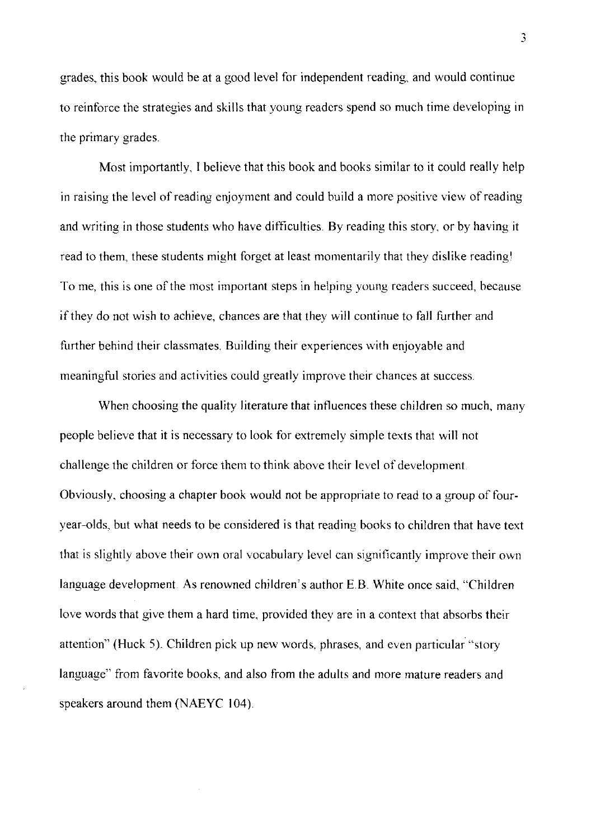grades, this book would be at a good level for independent reading, and would continue to reinforce the strategies and skills that young readers spend so much time developing in the primary grades.

Most importantly, I believe that this book and books similar to it could really help in raising the level of reading enjoyment and could build a more positive view ofreading and writing in those students who have difficulties. By reading this story, or by having it read to them, these students might forget at least momentarily that they dislike reading! To me, this is one of the most important steps in helping young readers succeed, because if they do not wish to achieve, chances are that they will continue to fall further and further behind their classmates. Building their experiences with enjoyable and meaningful stories and activities could greatly improve their chances at success.

When choosing the quality literature that influences these children so much, many people believe that it is necessary to look for extremely simple texts that will not challenge the children or force them to think above their level of development. Obviously, choosing a chapter book would not be appropriate to read to a group of fouryear-olds, but what needs to be considered is that reading hooks to children that have text that is slightly above their own oral vocabulary level can significantly improve their own language development. As renowned children's author E.B. White once said, "Children love words that give them a hard time, provided they are in a context that absorbs their attention" (Huck 5). Children pick up new words, phrases, and even particular "story language" from favorite books, and also from the adults and more mature readers and speakers around them (NAEYC 104)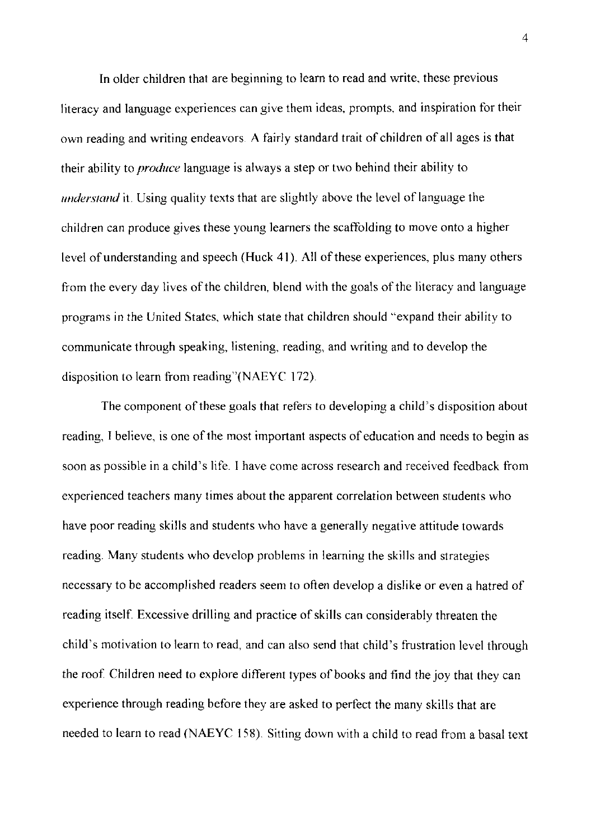**In** older children that are beginning to learn to read and write, these previous literacy and language experiences can give them ideas, prompts, and inspiration for their own reading and writing endeavors A fairly standard trait of children of all ages is that their ability to *produce* language is always a step or two behind their ability to *understand* it. Using quality texts that are slightly above the level of language the children can produce gives these young learners the scaffolding to move onto a higher level of understanding and speech (Huck 41) All of these experiences, plus many others from the every day lives of the children, blend with the goals of the literacy and language programs in the United States, which state that children should "expand their ability to communicate through speaking, listening, reading, and writing and to develop the disposition to learn from reading"(NAEYC 172)

The component of these goals that refers to developing a child's disposition about reading, I believe, is one of the most important aspects of education and needs to begin as soon as possible in a child's life. I have come across research and received feedback from experienced teachers many times about the apparent correlation between students who have poor reading skills and students who have a generally negative attitude towards reading. Many students who develop problems in learning the skills and strategies necessary to be accomplished readers seem to often develop a dislike or even a hatred of reading itself Excessive drilling and practice of skills can considerably threaten the child's motivation to learn to read, and can also send that child's frustration level through the roof. Children need to explore different types of books and find the joy that they can experience through reading before they are asked to perfect the many skills that are needed to learn to read (NAEYC 158). Sitting down with a child to read from a basal text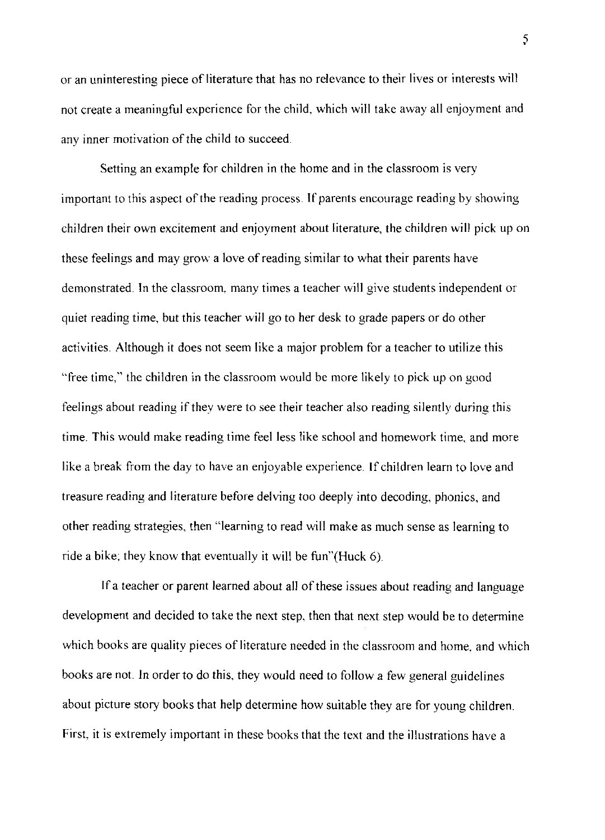or an uninteresting piece of literature that has no relevance to their lives or interests will not create a meaningful experience for the child, which will take away all enjoyment and any inner motivation of the child to succeed.

Setting an example for children in the home and in the classroom is very important to this aspect of the reading process. If parents encourage reading by showing children their own excitement and enjoyment about literature, the children will pick up on these feelings and may grow a love of reading similar to what their parents have demonstrated. In the classroom, many times a teacher will give students independent or quiet reading time, but this teacher will go to her desk to grade papers or do other activities. Although it does not seem like a major problem for a teacher to utilize this "free time," the children in the classroom would be more likely to pick up on good feelings about reading if they were to see their teacher also reading silently during this time. This would make reading time feel less like school and homework time, and more like a break from the day to have an enjoyable experience **If** children learn to love and treasure reading and literature before delving too deeply into decoding, phonics, and other reading strategies, then "learning to read will make as much sense as learning to ride a bike; they know that eventually it will be fun"(Huck 6)

If a teacher or parent learned about all of these issues about reading and language development and decided to take the next step, then that next step would be to determine which books are quality pieces of literature needed in the classroom and home, and which books are not. In order to do this, they would need to follow a few general guidelines about picture story books that help determine how suitable they are for young children. First, it is extremely important in these books that the text and the illustrations have a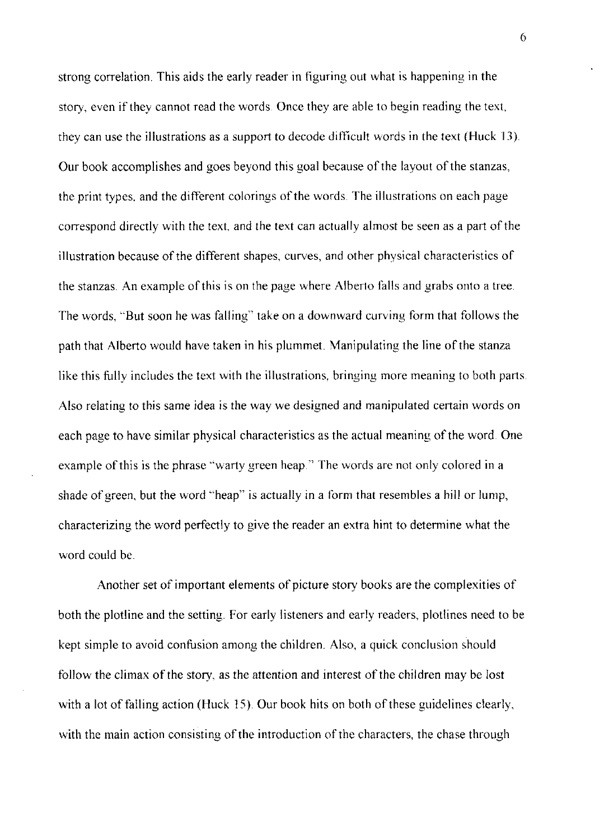strong correlation. This aids the early reader in figuring out what is happening in the story, even if they cannot read the words Once they are able to begin reading the text, they can use the illustrations as a support to decode difficult words in the text (Huck 13). Our book accomplishes and goes beyond this goal because of the layout of the stanzas, the print types, and the different colorings of the words. The illustrations on each page correspond directly with the text, and the text can actually almost be seen as a part of the illustration because of the different shapes, curves, and other physical characteristics of the stanzas. An example of this is on the page where Alberto falls and grabs onto a tree. The words, "But soon he was falling" take on a downward curving form that follows the path that Alberto would have taken in his plummet. Manipulating the line of the stanza like this fully includes the text with the illustrations, bringing more meaning to both parts. Also relating to this same idea is the way we designed and manipulated certain words on each page to have similar physical characteristics as the actual meaning of the word. One example of this is the phrase "warty green heap." The words are not only colored in a shade of green, but the word "heap" is actually in a form that resembles a hill or lump, characterizing the word perfectly to give the reader an extra hint to determine what the word could be

Another set of important elements of picture story books are the complexities of both the plotline and the setting For early listeners and early readers, plotlines need to be kept simple to avoid confusion among the children. Also, a quick conclusion should follow the climax of the story, as the attention and interest of the children may be lost with a lot of falling action (Huck 15). Our book hits on both of these guidelines clearly, with the main action consisting of the introduction of the characters, the chase through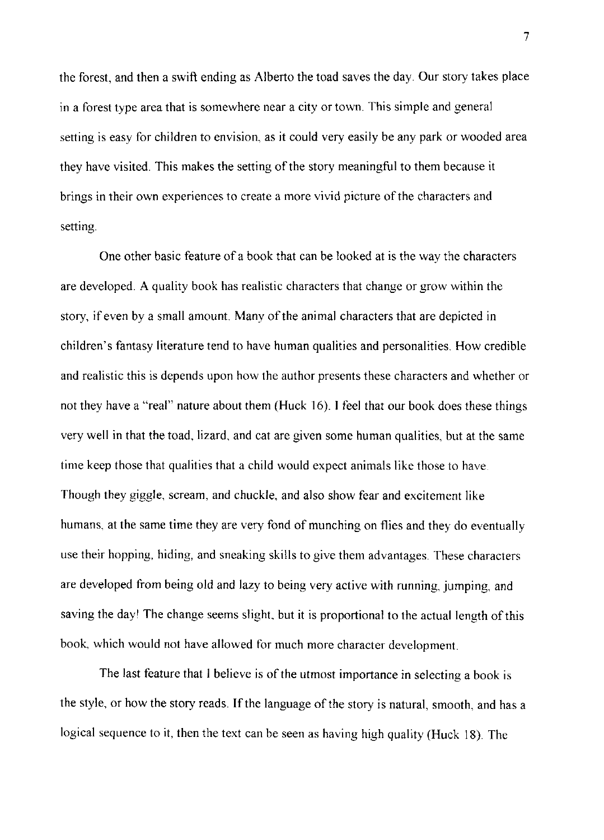the forest, and then a swift ending as Alberto the toad saves the day. Our story takes place in a forest type area that is somewhere near a city or town. This simple and general setting is easy for children to envision, as it could very easily be any park or wooded area they have visited. This makes the setting of the story meaningful to them because it brings in their own experiences to create a more vivid picture of the characters and setting.

One other basic feature of a book that can be looked at is the way the characters are developed. A quality book has realistic characters that change or grow within the story, if even by a small amount. Many of the animal characters that are depicted in children's fantasy literature tend to have human qualities and personalities How credible and realistic this is depends upon how the author presents these characters and whether or not they have a "real" nature about them (Huck 16). I feel that our book does these things very well in that the toad, lizard, and cat are given some human qualities, but at the same time keep those that qualities that a child would expect animals like those to have Though they giggle, scream, and chuckle, and also show fear and excitement like humans, at the same time they are very fond of munching on flies and they do eventually use their hopping, hiding, and sneaking skills to give them advantages. These characters are developed from being old and lazy to being very active with running, jumping, and saving the dayl The change seems slight, but it is proportional to the actual length of this book, which would not have allowed for much more character development.

The last feature that I believe is of the utmost importance in selecting a book is the style, or how the story reads. If the language of the story is natural, smooth, and has a logical sequence to it, then the text can be seen as having high quality (Huck 18). The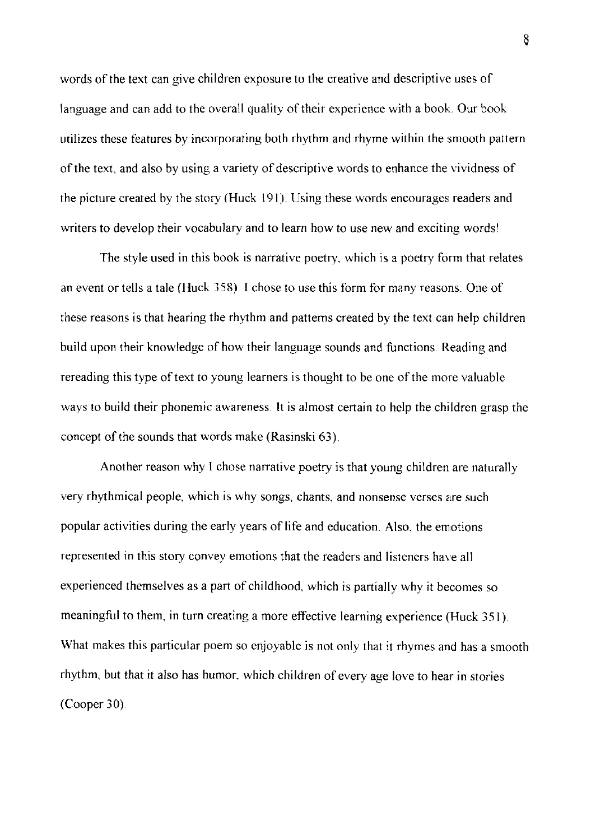words of the text can give children exposure to the creative and descriptive uses of language and can add to the overall quality of their experience with a book. Our book utilizes these features by incorporating both rhythm and rhyme within the smooth pattern of the text, and also by using a variety of descriptive words to enhance the vividness of the picture created by the story (Huck 191). Using these words encourages readers and writers to develop their vocabulary and to learn how to use new and exciting words'

The style used in this book is narrative poetry, which is a poetry form that relates an event or tells a tale (Huck 358). I chose to use this form for many reasons. One of these reasons is that hearing the rhythm and patterns created by the text can help children build upon their knowledge of how their language sounds and functions. Reading and rereading this type of text to young learners is thought to be one of the more valuable ways to build their phonemic awareness. It is almost certain to help the children grasp the concept of the sounds that words make (Rasinski 63).

Another reason why I chose narrative poetry is that young children are naturally very rhythmical people, which is why songs, chants, and nonsense verses are such popular activities during the early years of life and education. Also, the emotions represented in this story convey emotions that the readers and listeners have all experienced themselves as a part of childhood, which is partially why it becomes so meaningful to them, in turn creating a more effective learning experience (Huck 351) What makes this particular poem so enjoyable is not only that it rhymes and has a smooth rhythm, but that it also has humor, which children of every age love to hear in stories (Cooper 30)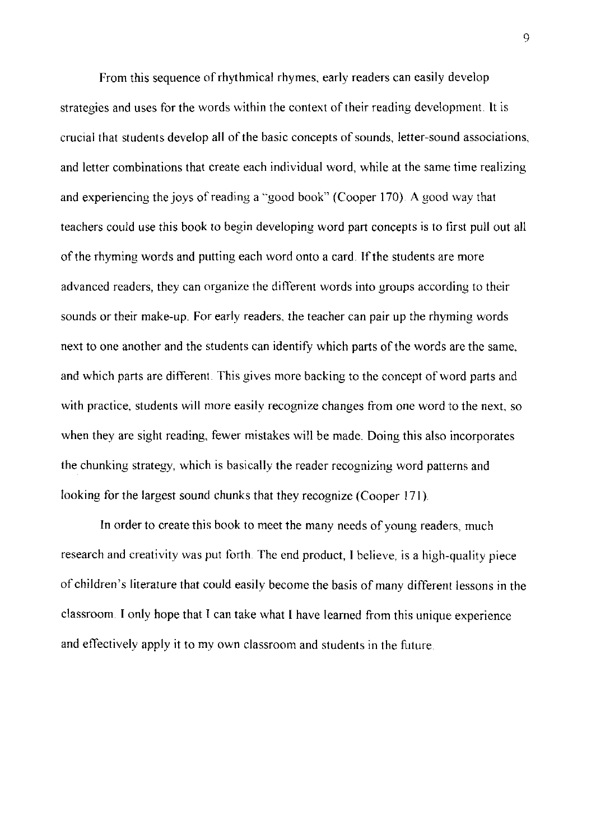From this sequence of rhythmical rhymes, early readers can easily develop strategies and uses for the words within the context of their reading development. It is crucial that students develop all of the basic concepts of sounds, letter-sound associations, and letter combinations that create each individual word, while at the same time realizing and experiencing the joys of reading a "good book" (Cooper 170) A good way that teachers could use this book to begin developing word part concepts is to first pull out all of the rhyming words and putting each word onto a card. If the students are more advanced readers, they can organize the different words into groups according to their sounds or their make-up. For early readers, the teacher can pair up the rhyming words next to one another and the students can identify which parts of the words are the same, and which parts are different. This gives more backing to the concept of word parts and with practice, students will more easily recognize changes from one word to the next, so when they are sight reading, fewer mistakes will be made. Doing this also incorporates the chunking strategy, which is basically the reader recognizing word patterns and looking for the largest sound chunks that they recognize (Cooper 171).

**In** order to create this book to meet the many needs of young readers, much research and creativity was put forth. The end product, I believe, is a high-quality piece of children's literature that could easily become the basis of many different lessons in the classroom. I only hope that I can take what I have learned from this unique experience and effectively apply it to my own classroom and students in the future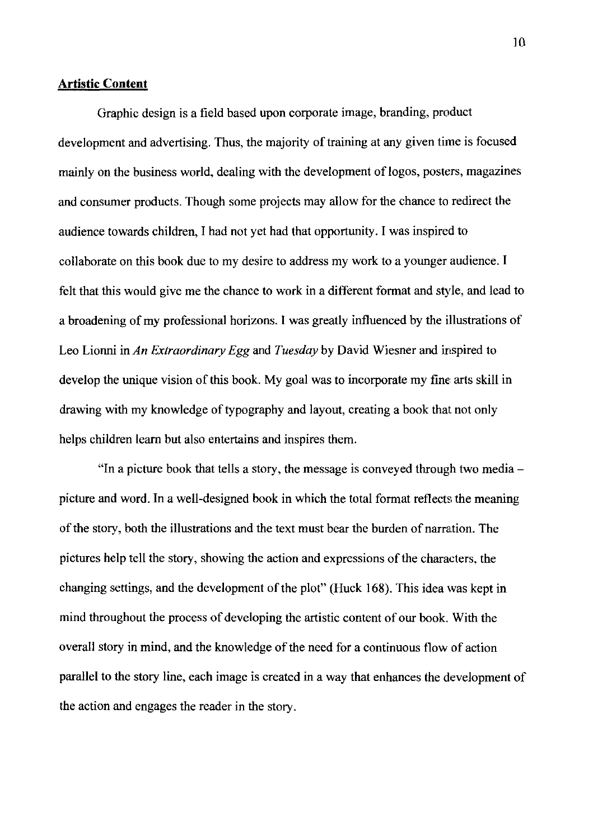#### **Artistic Content**

Graphic design is a field based upon corporate image, branding, product development and advertising. Thus, the majority of training at any given time is focused mainly on the business world, dealing with the development of logos, posters, magazines and consumer products. Though some projects may allow for the chance to redirect the audience towards children, I had not yet had that opportunity. I was inspired to collaborate on this book due to my desire to address my work to a younger audience. I felt that this would give me the chance to work in a different format and style, and lead to a broadening of my professional horizons. I was greatly influenced by the illustrations of Leo Lionni in *An Extraordinary Egg* and *Tuesday* by David Wiesner and inspired to develop the unique vision of this book. My goal was to incorporate my fine arts skill in drawing with my knowledge of typography and layout, creating a book that not only helps children learn but also entertains and inspires them.

"In a picture book that tells a story, the message is conveyed through two media picture and word. In a well-designed book in which the total format reflects the meaning of the story, both the illustrations and the text must bear the burden of narration. The pictures help tell the story, showing the action and expressions of the characters, the changing settings, and the development of the plot" (Huck 168). This idea was kept in mind throughout the process of developing the artistic content of our book. With the overall story in mind, and the knowledge of the need for a continuous flow of action parallel to the story line, each image is created in a way that enhances the development of the action and engages the reader in the story.

]0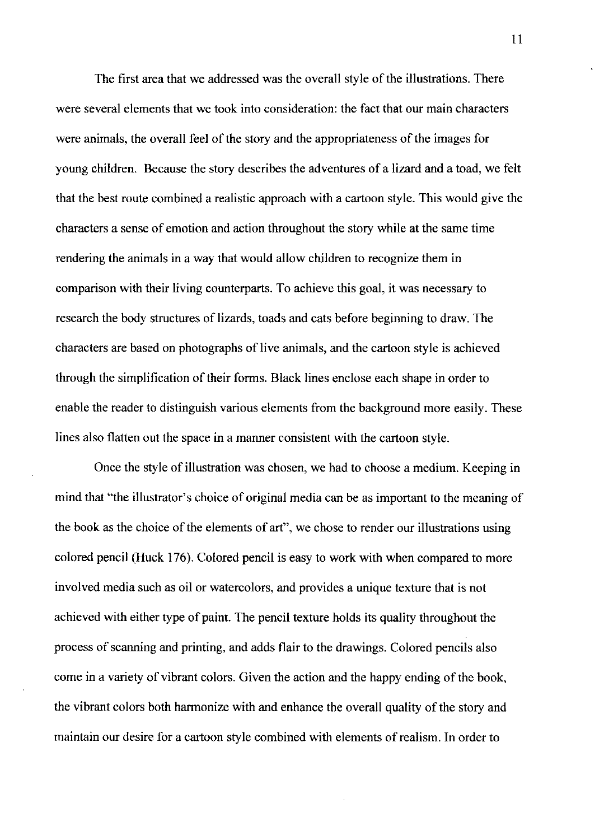The first area that we addressed was the overall style of the illustrations. There were several elements that we took into consideration: the fact that our main characters were animals, the overall feel of the story and the appropriateness of the images for young children. Because the story describes the adventures of a lizard and a toad, we felt that the best route combined a realistic approach with a cartoon style. This would give the characters a sense of emotion and action throughout the story while at the same time rendering the animals in a way that would allow children to recognize them in comparison with their living counterparts. To achieve this goal, it was necessary to research the body structures of lizards, toads and cats before beginning to draw. The characters are based on photographs of live animals, and the cartoon style is achieved through the simplification of their forms. Black lines enclose each shape in order to enable the reader to distinguish various elements from the background more easily. These lines also flatten out the space in a manner consistent with the cartoon style.

Once the style of illustration was chosen, we had to choose a medium. Keeping in mind that "the illustrator's choice of original media can be as important to the meaning of the book as the choice of the elements of art", we chose to render our illustrations using colored pencil (Huck 176). Colored pencil is easy to work with when compared to more involved media such as oil or watercolors, and provides a unique texture that is not achieved with either type of paint. The pencil texture holds its quality throughout the process of scanning and printing, and adds flair to the drawings. Colored pencils also come in a variety of vibrant colors. Given the action and the happy ending of the book, the vibrant colors both harmonize with and enhance the overall quality of the story and maintain our desire for a cartoon style combined with elements of realism. In order to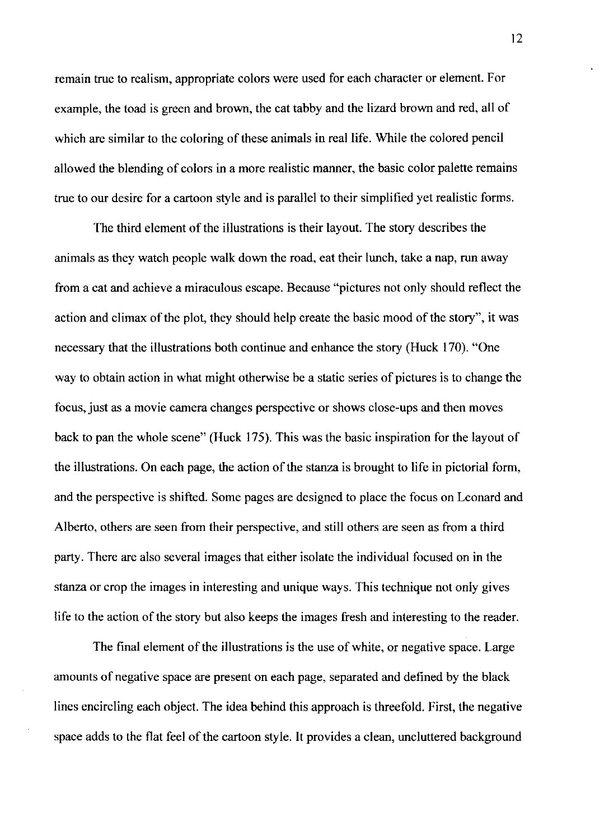remain true to realism, appropriate colors were used for each character or element. For example, the toad is green and brown, the cat tabby and the lizard brown and red, all of which are similar to the coloring of these animals in real life. While the colored pencil allowed the blending of colors in a more realistic manner, the basic color palette remains true to our desire for a cartoon style and is parallel to their simplified yet realistic forms.

The third element of the illustrations is their layout. The story describes the animals as they watch people walk down the road, eat their lunch, take a nap, run away from a cat and achieve a miraculous escape. Because "pictures not only should reflect the action and climax of the plot, they should help create the basic mood of the story", it was necessary that the illustrations both continue and enhance the story (Huck 170). "One way to obtain action in what might otherwise be a static series of pictures is to change the focus, just as a movie camera changes perspective or shows close-ups and then moves back to pan the whole scene" (Huck 175). This was the basic inspiration for the layout of the illustrations. On each page, the action of the stanza is brought to life in pictorial form, and the perspective is shifted. Some pages are designed to place the focus on Leonard and Alberto, others are seen from their perspective, and still others are seen as from a third party. There are also several images that either isolate the individual focused on in the stanza or crop the images in interesting and unique ways. This technique not only gives life to the action of the story but also keeps the images fresh and interesting to the reader.

The final element of the illustrations is the use of white, or negative space. Large amounts of negative space are present on each page, separated and defined by the black lines encircling each object. The idea behind this approach is threefold. First, the negative space adds to the flat feel of the cartoon style. It provides a clean, uncluttered background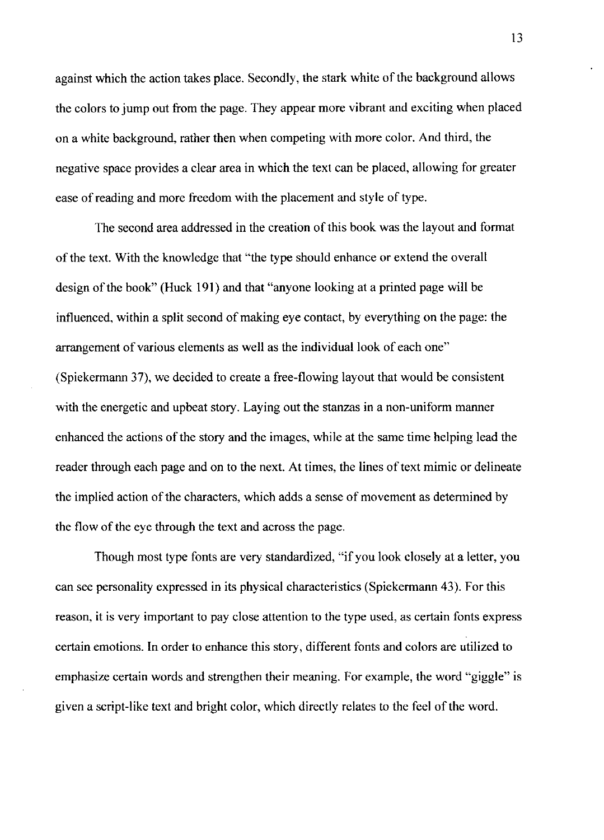against which the action takes place. Secondly, the stark white of the background allows the colors to jump out from the page. They appear more vibrant and exciting when placed on a white background, rather then when competing with more color. And third, the negative space provides a clear area in which the text can be placed, allowing for greater ease of reading and more freedom with the placement and style of type.

The second area addressed in the creation of this book was the layout and format of the text. With the knowledge that "the type should enhance or extend the overall design of the book" (Huck 191) and that "anyone looking at a printed page will be influenced, within a split second of making eye contact, by everything on the page: the arrangement of various elements as well as the individual look of each one" (Spiekermann 37), we decided to create a free-flowing layout that would be consistent with the energetic and upbeat story. Laying out the stanzas in a non-uniform manner enhanced the actions of the story and the images, while at the same time helping lead the reader through each page and on to the next. At times, the lines of text mimic or delineate the implied action of the characters, which adds a sense of movement as determined by the flow of the eye through the text and across the page.

Though most type fonts are very standardized, "if you look closely at a letter, you can see personality expressed in its physical characteristics (Spiekermann 43). For this reason, it is very important to pay close attention to the type used, as certain fonts express certain emotions. In order to enhance this story, different fonts and colors are utilized to emphasize certain words and strengthen their meaning. For example, the word "giggle" is given a script-like text and bright color, which directly relates to the feel of the word.

13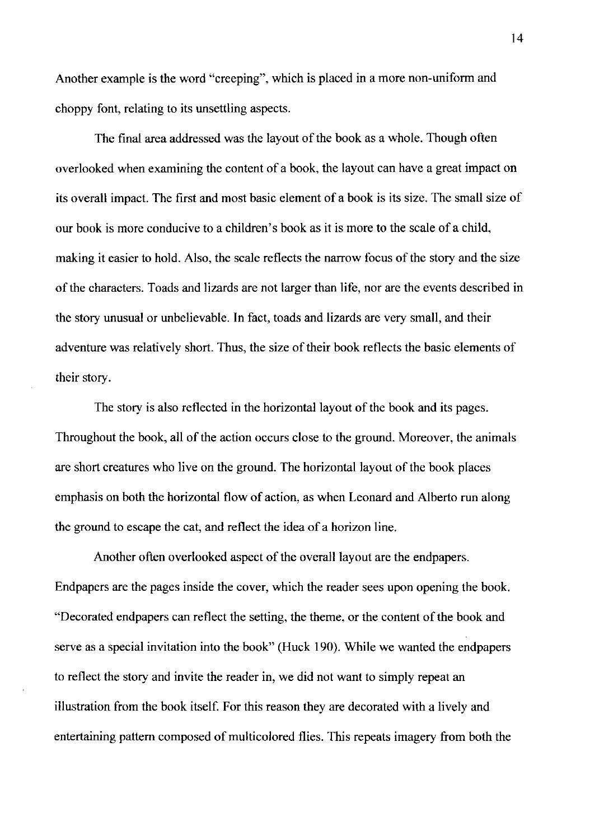Another example is the word "creeping", which is placed in a more non-uniform and choppy font, relating to its unsettling aspects.

The final area addressed was the layout of the book as a whole. Though often overlooked when examining the content of a book, the layout can have a great impact on its overall impact. The first and most basic element of a book is its size. The small size of our book is more conducive to a children's book as it is more to the scale of a child, making it easier to hold. Also, the scale reflects the narrow focus of the story and the size of the characters. Toads and lizards are not larger than life, nor are the events described in the story unusual or unbelievable. **In** fact, toads and lizards are very small, and their adventure was relatively short. Thus, the size of their book reflects the basic elements of their story.

The story is also reflected in the horizontal layout of the book and its pages. Throughout the book, all of the action occurs close to the ground. Moreover, the animals are short creatures who live on the ground. The horizontal layout of the book places emphasis on both the horizontal flow of action, as when Leonard and Alberto run along the ground to escape the cat, and reflect the idea of a horizon line.

Another often overlooked aspect of the overall layout are the endpapers. Endpapers are the pages inside the cover, which the reader sees upon opening the book. "Decorated endpapers can reflect the setting, the theme, or the content of the book and serve as a special invitation into the book" (Huck 190). While we wanted the endpapers to reflect the story and invite the reader in, we did not want to simply repeat an illustration from the book itself. For this reason they are decorated with a lively and entertaining pattern composed of multicolored flies. This repeats imagery from both the

14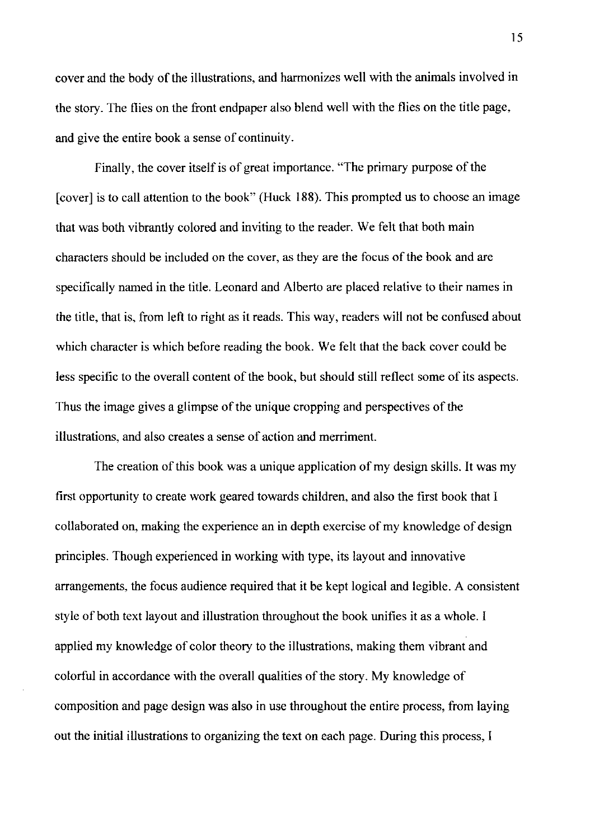cover and the body of the illustrations, and harmonizes well with the animals involved in the story. The flies on the front endpaper also blend well with the flies on the title page, and give the entire book a sense of continuity.

Finally, the cover itself is of great importance. "The primary purpose of the [cover] is to call attention to the book" (Huck 188). This prompted us to choose an image that was both vibrantly colored and inviting to the reader. We felt that both main characters should be included on the cover, as they are the focus of the book and are specifically named in the title. Leonard and Alberto are placed relative to their names in the title, that is, from left to right as it reads. This way, readers will not be confused about which character is which before reading the book. We felt that the back cover could be less specific to the overall content of the book, but should still reflect some of its aspects. Thus the image gives a glimpse of the unique cropping and perspectives of the illustrations, and also creates a sense of action and merriment.

The creation of this book was a unique application of my design skills. It was my first opportunity to create work geared towards children, and also the first book that I collaborated on, making the experience an in depth exercise of my knowledge of design principles. Though experienced in working with type, its layout and innovative arrangements, the focus audience required that it be kept logical and legible. A consistent style of both text layout and illustration throughout the book unifies it as a whole. I applied my knowledge of color theory to the illustrations, making them vibrant and colorful in accordance with the overall qualities of the story. My knowledge of composition and page design was also in use throughout the entire process, from laying out the initial illustrations to organizing the text on each page. During this process, I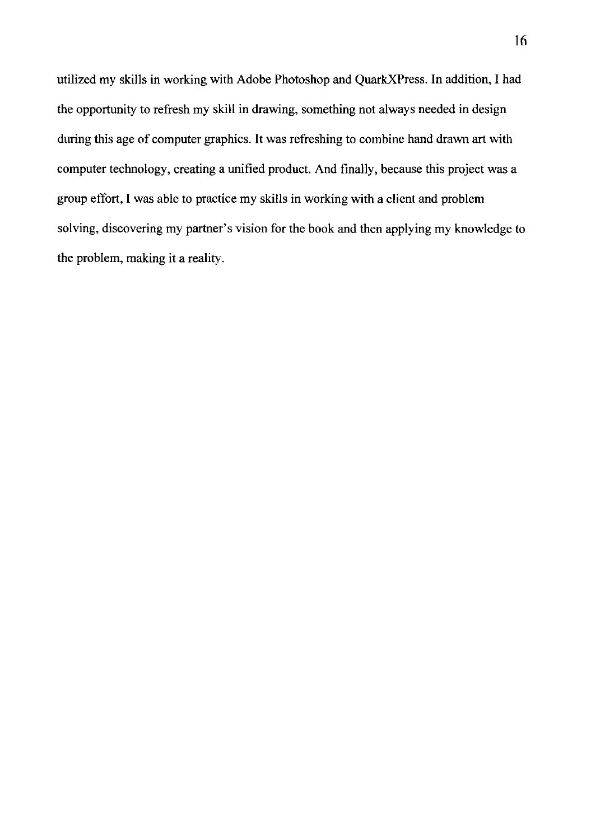utilized my skills in working with Adobe Photoshop and QuarkXPress. **In** addition, I had the opportunity to refresh my skill in drawing, something not always needed in design during this age of computer graphics. It was refreshing to combine hand drawn art with computer technology, creating a unified product. And finally, because this project was a group effort, I was able to practice my skills in working with a client and problem solving, discovering my partner's vision for the book and then applying my knowledge to the problem, making it a reality.